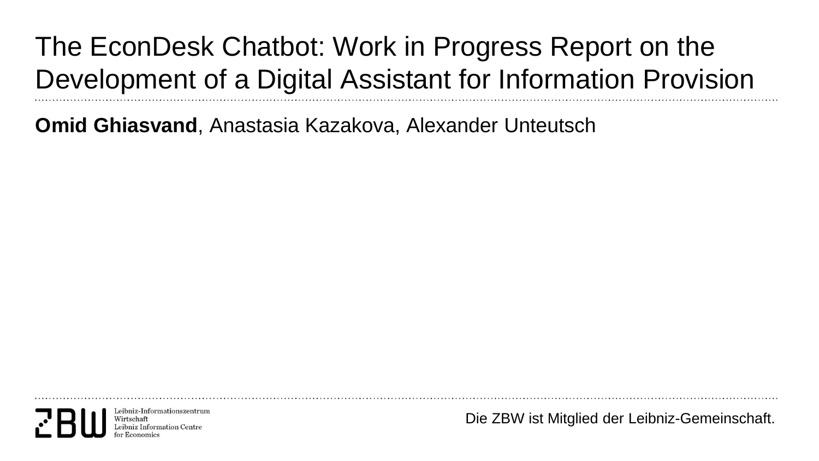#### The EconDesk Chatbot: Work in Progress Report on the Development of a Digital Assistant for Information Provision

**Omid Ghiasvand**, Anastasia Kazakova, Alexander Unteutsch

Leibniz-Informationszentrur Wirtschaft ibniz Information Centr

Die ZBW ist Mitglied der Leibniz-Gemeinschaft.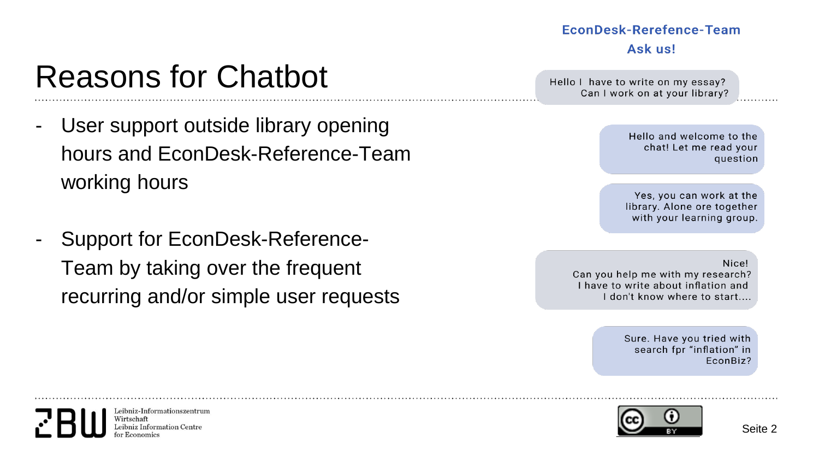#### EconDesk-Rerefence-Team Ask us!

Hello I have to write on my essay? Can I work on at your library?

> Hello and welcome to the chat! Let me read your question

Yes, you can work at the library. Alone ore together with your learning group.

Nice! Can you help me with my research? I have to write about inflation and I don't know where to start....

> Sure. Have you tried with search fpr "inflation" in EconBiz?



- User support outside library opening hours and EconDesk-Reference-Team working hours
- Support for EconDesk-Reference-Team by taking over the frequent recurring and/or simple user requests

Leibniz-Informationszentrum Wirtschaft eibniz Information Centre

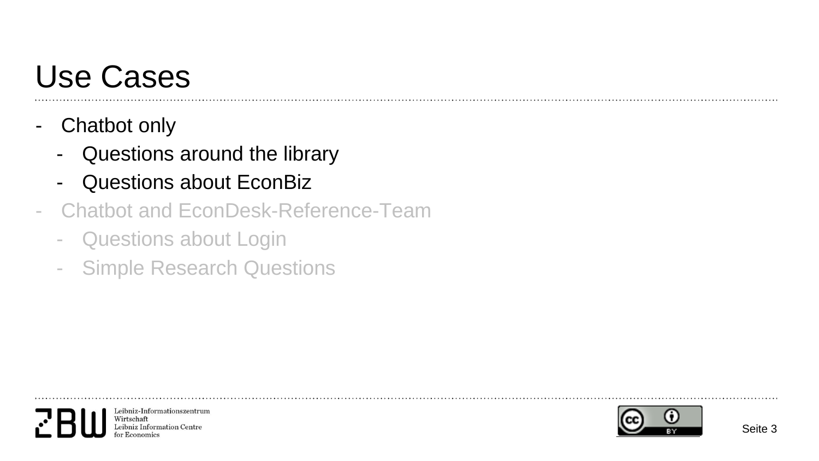## Use Cases

- Chatbot only
	- Questions around the library
	- Questions about EconBiz
- Chatbot and EconDesk-Reference-Team
	- Questions about Login
	- Simple Research Questions



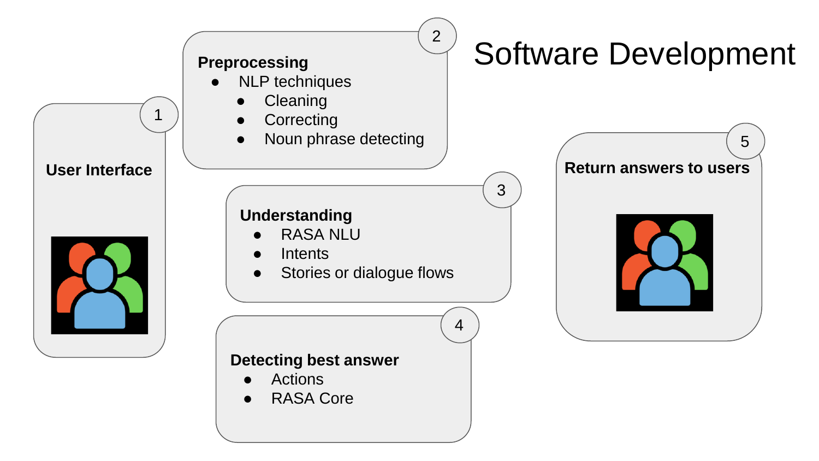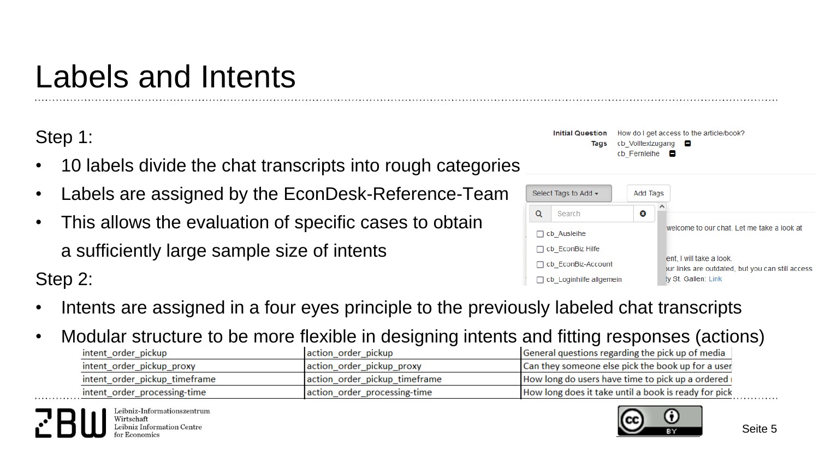# Labels and Intents

Step 1:

Step 2:

- 10 labels divide the chat transcripts into rough categories
- Labels are assigned by the EconDesk-Reference-Team
- This allows the evaluation of specific cases to obtain a sufficiently large sample size of intents

| Initial Question How do I get access to the article/book? |
|-----------------------------------------------------------|
| Tags cb Volltextzugang <b>D</b>                           |
| cb Fernleihe $\blacksquare$                               |



- Intents are assigned in a four eyes principle to the previously labeled chat transcripts
- Modular structure to be more flexible in designing intents and fitting responses (actions)

| intent order pickup           | action order pickup           | General questions regarding the pick up of media     |  |
|-------------------------------|-------------------------------|------------------------------------------------------|--|
| intent_order_pickup_proxy     | action_order_pickup_proxy     | Can they someone else pick the book up for a user    |  |
| intent order pickup timeframe | action order pickup timeframe | How long do users have time to pick up a ordered i   |  |
| intent_order_processing-time  | action order processing-time  | How long does it take until a book is ready for pick |  |
|                               |                               |                                                      |  |

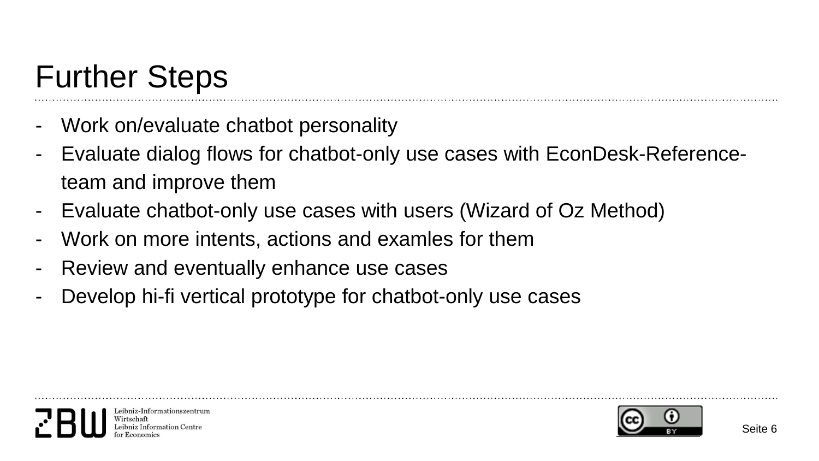## Further Steps

- Work on/evaluate chatbot personality
- Evaluate dialog flows for chatbot-only use cases with EconDesk-Referenceteam and improve them
- Evaluate chatbot-only use cases with users (Wizard of Oz Method)
- Work on more intents, actions and examles for them
- Review and eventually enhance use cases
- Develop hi-fi vertical prototype for chatbot-only use cases



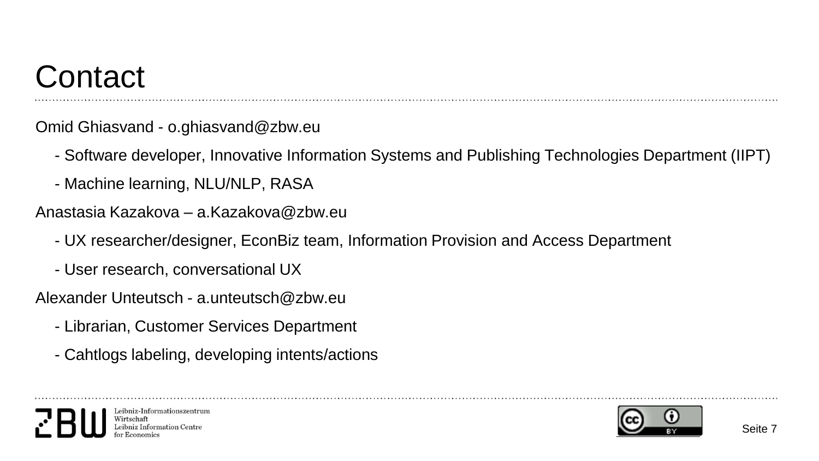## **Contact**

Omid Ghiasvand - o.ghiasvand@zbw.eu

- Software developer, Innovative Information Systems and Publishing Technologies Department (IIPT)
- Machine learning, NLU/NLP, RASA
- Anastasia Kazakova a.Kazakova@zbw.eu
	- UX researcher/designer, EconBiz team, Information Provision and Access Department
	- User research, conversational UX

Alexander Unteutsch - a.unteutsch@zbw.eu

- Librarian, Customer Services Department
- Cahtlogs labeling, developing intents/actions



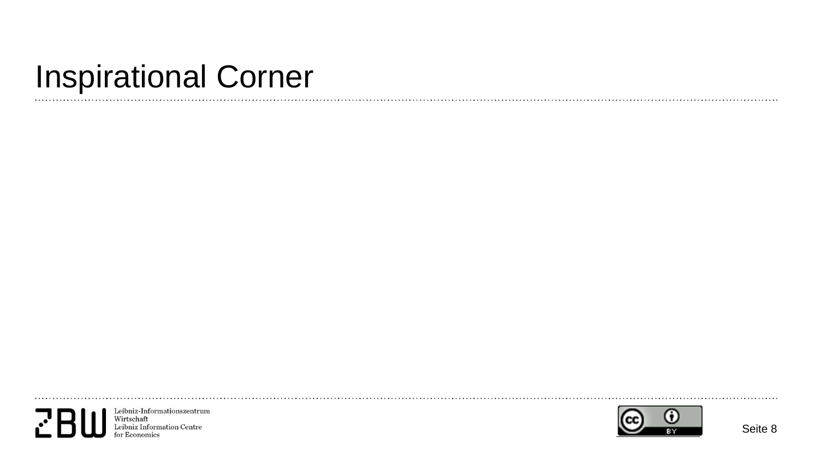#### Inspirational Corner

 $\mathbf{r}$ 

Leibniz-Informationszentrum<br>Wirtschaft<br>Leibniz Information Centre<br>for Economics  $\mathbf{r}^{\prime}$ 

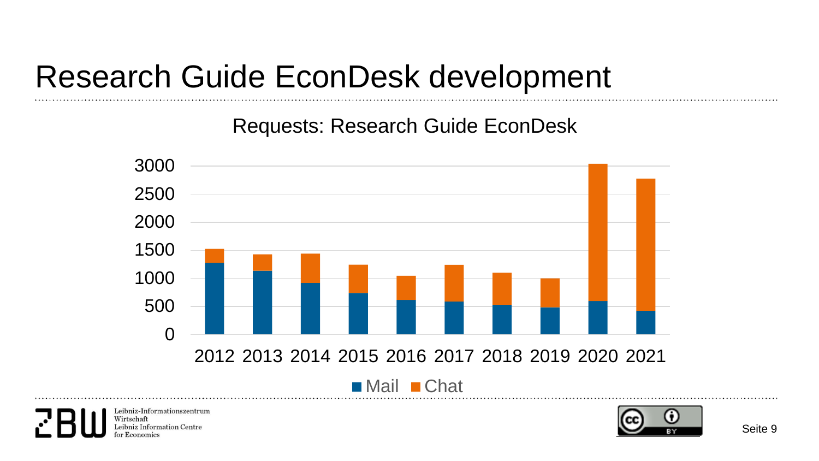#### Research Guide EconDesk development

Requests: Research Guide EconDesk



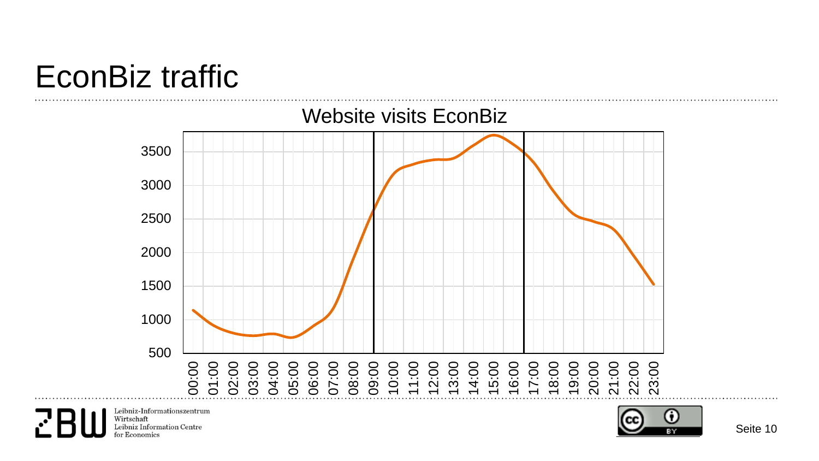### EconBiz traffic

for Economics

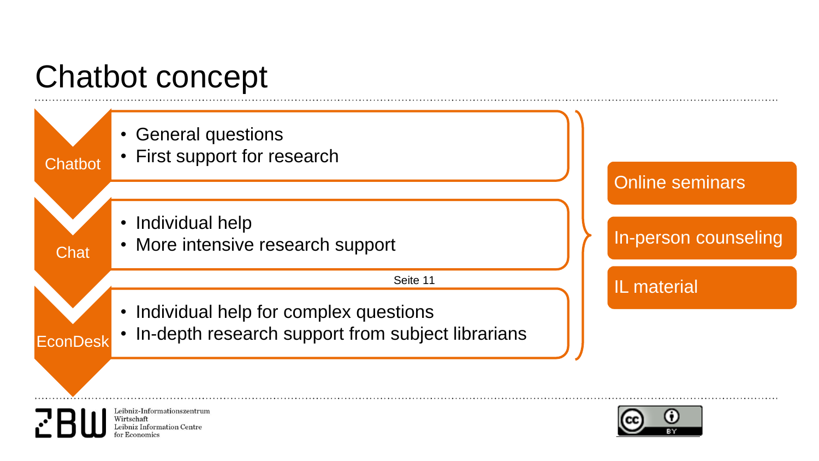## Chatbot concept

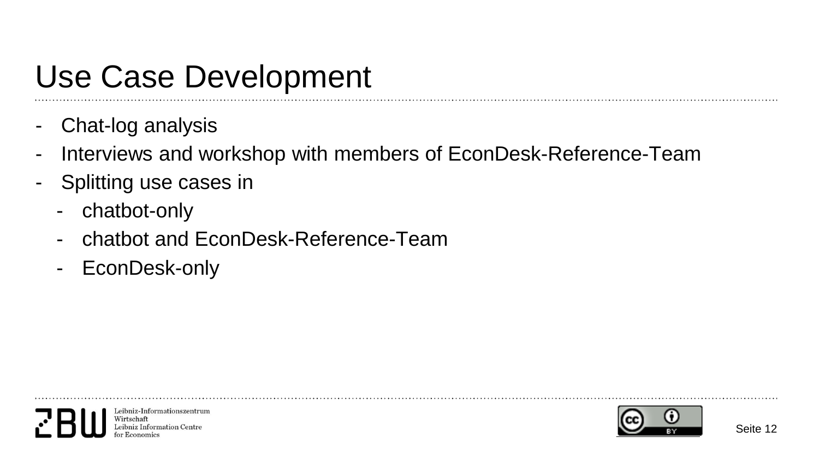## Use Case Development

- Chat-log analysis
- Interviews and workshop with members of EconDesk-Reference-Team
- Splitting use cases in
	- chatbot-only
	- chatbot and EconDesk-Reference-Team
	- EconDesk-only